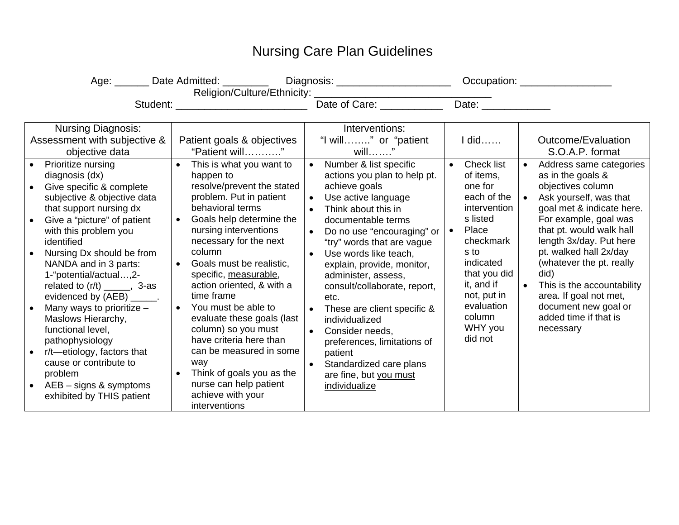## Nursing Care Plan Guidelines

|                                                                                                                                                                                                                                                                                                                                                                                                                                                                                                                                                                                                                                                                                                 |                                                                                                                                                                                                                                                                                                                                                                                                                                                                                                                                                                                                                                          | Age: Date Admitted: Diagnosis: Network Contains and Diagnosis:                                                                                                                                                                                                                                                                                                                                                                                                                                                                                                                                                                                                                   |                                                                                                                                                                                                                                                          | Occupation: ____________________                                                                                                                                                                                                                                                                                                                                                                                                                   |
|-------------------------------------------------------------------------------------------------------------------------------------------------------------------------------------------------------------------------------------------------------------------------------------------------------------------------------------------------------------------------------------------------------------------------------------------------------------------------------------------------------------------------------------------------------------------------------------------------------------------------------------------------------------------------------------------------|------------------------------------------------------------------------------------------------------------------------------------------------------------------------------------------------------------------------------------------------------------------------------------------------------------------------------------------------------------------------------------------------------------------------------------------------------------------------------------------------------------------------------------------------------------------------------------------------------------------------------------------|----------------------------------------------------------------------------------------------------------------------------------------------------------------------------------------------------------------------------------------------------------------------------------------------------------------------------------------------------------------------------------------------------------------------------------------------------------------------------------------------------------------------------------------------------------------------------------------------------------------------------------------------------------------------------------|----------------------------------------------------------------------------------------------------------------------------------------------------------------------------------------------------------------------------------------------------------|----------------------------------------------------------------------------------------------------------------------------------------------------------------------------------------------------------------------------------------------------------------------------------------------------------------------------------------------------------------------------------------------------------------------------------------------------|
|                                                                                                                                                                                                                                                                                                                                                                                                                                                                                                                                                                                                                                                                                                 | Student: ____________________________                                                                                                                                                                                                                                                                                                                                                                                                                                                                                                                                                                                                    | Date of Care: Noted that the state of Care:                                                                                                                                                                                                                                                                                                                                                                                                                                                                                                                                                                                                                                      | Date: <u>______________</u>                                                                                                                                                                                                                              |                                                                                                                                                                                                                                                                                                                                                                                                                                                    |
| <b>Nursing Diagnosis:</b><br>Assessment with subjective &<br>objective data<br>Prioritize nursing<br>diagnosis (dx)<br>Give specific & complete<br>$\bullet$<br>subjective & objective data<br>that support nursing dx<br>Give a "picture" of patient<br>$\bullet$<br>with this problem you<br>identified<br>Nursing Dx should be from<br>NANDA and in 3 parts:<br>1-"potential/actual,2-<br>related to $(r/t)$ _____, 3-as<br>evidenced by (AEB) ______.<br>Many ways to prioritize $-$<br>Maslows Hierarchy,<br>functional level,<br>pathophysiology<br>r/t-etiology, factors that<br>cause or contribute to<br>problem<br>$AEB - signs & symptoms$<br>$\bullet$<br>exhibited by THIS patient | Patient goals & objectives<br>"Patient will"<br>$\bullet$<br>This is what you want to<br>happen to<br>resolve/prevent the stated<br>problem. Put in patient<br>behavioral terms<br>Goals help determine the<br>nursing interventions<br>necessary for the next<br>column<br>Goals must be realistic.<br>$\bullet$<br>specific, measurable,<br>action oriented, & with a<br>time frame<br>You must be able to<br>evaluate these goals (last<br>column) so you must<br>have criteria here than<br>can be measured in some<br>way<br>Think of goals you as the<br>$\bullet$<br>nurse can help patient<br>achieve with your<br>interventions | Interventions:<br>"I will" or "patient"<br>$will$ "<br>Number & list specific<br>$\bullet$<br>actions you plan to help pt.<br>achieve goals<br>Use active language<br>$\bullet$<br>Think about this in<br>$\bullet$<br>documentable terms<br>Do no use "encouraging" or<br>$\bullet$<br>"try" words that are vague<br>Use words like teach,<br>$\bullet$<br>explain, provide, monitor,<br>administer, assess,<br>consult/collaborate, report,<br>etc.<br>These are client specific &<br>$\bullet$<br>individualized<br>Consider needs,<br>$\bullet$<br>preferences, limitations of<br>patient<br>Standardized care plans<br>$\bullet$<br>are fine, but you must<br>individualize | $I$ did<br>Check list<br>$\bullet$<br>of items,<br>one for<br>each of the<br>intervention<br>s listed<br>Place<br>$\bullet$<br>checkmark<br>s to<br>indicated<br>that you did<br>it, and if<br>not, put in<br>evaluation<br>column<br>WHY you<br>did not | Outcome/Evaluation<br>S.O.A.P. format<br>Address same categories<br>as in the goals &<br>objectives column<br>Ask yourself, was that<br>$\bullet$<br>goal met & indicate here.<br>For example, goal was<br>that pt. would walk hall<br>length 3x/day. Put here<br>pt. walked hall 2x/day<br>(whatever the pt. really<br>did)<br>This is the accountability<br>area. If goal not met,<br>document new goal or<br>added time if that is<br>necessary |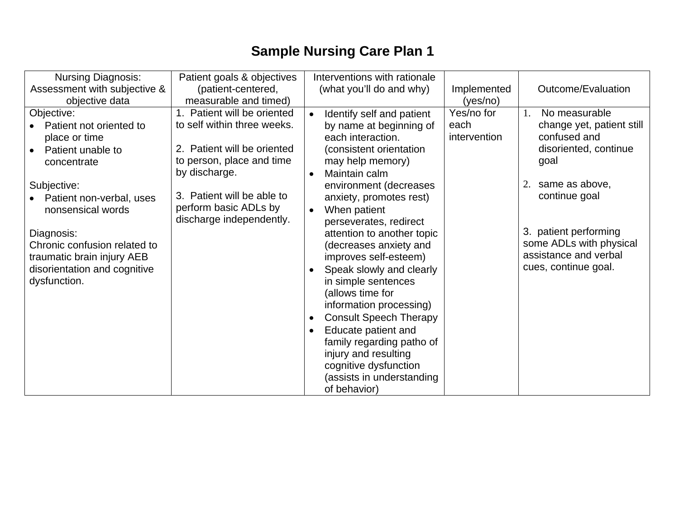## **Sample Nursing Care Plan 1**

| <b>Nursing Diagnosis:</b>      | Patient goals & objectives  | Interventions with rationale                                       |              |                           |
|--------------------------------|-----------------------------|--------------------------------------------------------------------|--------------|---------------------------|
| Assessment with subjective &   | (patient-centered,          | (what you'll do and why)                                           | Implemented  | Outcome/Evaluation        |
| objective data                 | measurable and timed)       |                                                                    | (yes/no)     |                           |
| Objective:                     | 1. Patient will be oriented | Identify self and patient<br>$\bullet$                             | Yes/no for   | No measurable<br>1.       |
| Patient not oriented to        | to self within three weeks. | by name at beginning of                                            | each         | change yet, patient still |
| place or time                  |                             | each interaction.                                                  | intervention | confused and              |
| Patient unable to<br>$\bullet$ | 2. Patient will be oriented | (consistent orientation                                            |              | disoriented, continue     |
| concentrate                    | to person, place and time   | may help memory)                                                   |              | goal                      |
|                                | by discharge.               | Maintain calm<br>$\bullet$                                         |              |                           |
| Subjective:                    |                             | environment (decreases                                             |              | 2. same as above,         |
| Patient non-verbal, uses       | 3. Patient will be able to  | anxiety, promotes rest)                                            |              | continue goal             |
| nonsensical words              | perform basic ADLs by       | When patient<br>$\bullet$                                          |              |                           |
|                                | discharge independently.    | perseverates, redirect                                             |              |                           |
| Diagnosis:                     |                             | attention to another topic                                         |              | 3. patient performing     |
| Chronic confusion related to   |                             | (decreases anxiety and                                             |              | some ADLs with physical   |
| traumatic brain injury AEB     |                             | improves self-esteem)                                              |              | assistance and verbal     |
| disorientation and cognitive   |                             | Speak slowly and clearly                                           |              | cues, continue goal.      |
| dysfunction.                   |                             | in simple sentences                                                |              |                           |
|                                |                             | (allows time for                                                   |              |                           |
|                                |                             | information processing)                                            |              |                           |
|                                |                             | <b>Consult Speech Therapy</b>                                      |              |                           |
|                                |                             | Educate patient and                                                |              |                           |
|                                |                             | family regarding patho of                                          |              |                           |
|                                |                             | injury and resulting                                               |              |                           |
|                                |                             |                                                                    |              |                           |
|                                |                             |                                                                    |              |                           |
|                                |                             | cognitive dysfunction<br>(assists in understanding<br>of behavior) |              |                           |